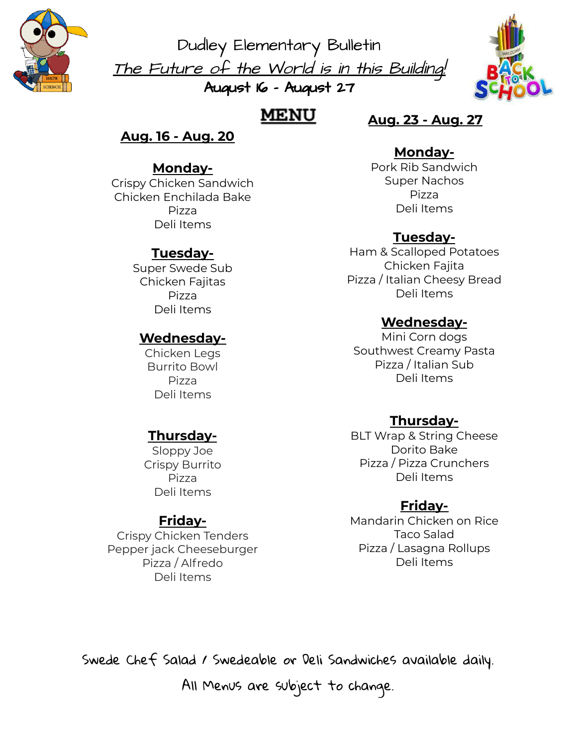

Dudley Elementary Bulletin The Future of the World is in this Building! August 16 - August 27



# **MENU**

## **Aug. 16 - Aug. 20**

## **Monday-**

Crispy Chicken Sandwich Chicken Enchilada Bake Pizza Deli Items

## **Tuesday-**

Super Swede Sub Chicken Fajitas Pizza Deli Items

### **Wednesday-**

Chicken Legs Burrito Bowl Pizza Deli Items

### **Thursday-**

Sloppy Joe Crispy Burrito Pizza Deli Items

### **Friday-**

Crispy Chicken Tenders Pepper jack Cheeseburger Pizza / Alfredo Deli Items

## **Aug. 23 - Aug. 27**

#### **Monday-**

Pork Rib Sandwich Super Nachos Pizza Deli Items

## **Tuesday-**

Ham & Scalloped Potatoes Chicken Fajita Pizza / Italian Cheesy Bread Deli Items

### **Wednesday-**

Mini Corn dogs Southwest Creamy Pasta Pizza / Italian Sub Deli Items

## **Thursday-**

BLT Wrap & String Cheese Dorito Bake Pizza / Pizza Crunchers Deli Items

### **Friday-**

Mandarin Chicken on Rice Taco Salad Pizza / Lasagna Rollups Deli Items

Swede Chef Salad / Swedeable or Deli Sandwiches available daily.

All Menus are subject to change.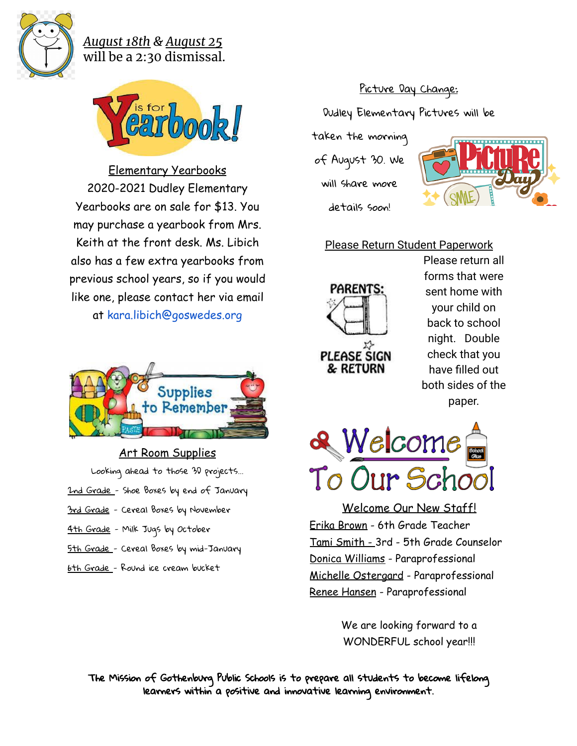

### *August 18th & August 25* will be a 2:30 dismissal.



Elementary Yearbooks 2020-2021 Dudley Elementary Yearbooks are on sale for \$13. You may purchase a yearbook from Mrs. Keith at the front desk. Ms. Libich also has a few extra yearbooks from previous school years, so if you would like one, please contact her via email at kara.libich@goswedes.org



- Art Room Supplies
- Looking ahead to those 3D projects...
- 2nd Grade Shoe Boxes by end of January
- 3rd Grade Cereal Boxes by November
- 4th Grade Milk Jugs by October
- 5th Grade Cereal Boxes by mid-January
- 6th Grade Round ice cream bucket

## Picture Day Change:

Dudley Elementary Pictures will be

taken the morning

of August 30. We

will share more details soon!



### Please Return Student Paperwork



Please return all forms that were sent home with your child on back to school night. Double check that you have filled out both sides of the paper.



Welcome Our New Staff! Erika Brown - 6th Grade Teacher Tami Smith - 3rd - 5th Grade Counselor Donica Williams - Paraprofessional Michelle Ostergard - Paraprofessional Renee Hansen - Paraprofessional

> We are looking forward to a WONDERFUL school year!!!

The Mission of Gothenburg Public Schools is to prepare all students to become lifelong learners within a positive and innovative learning environment.